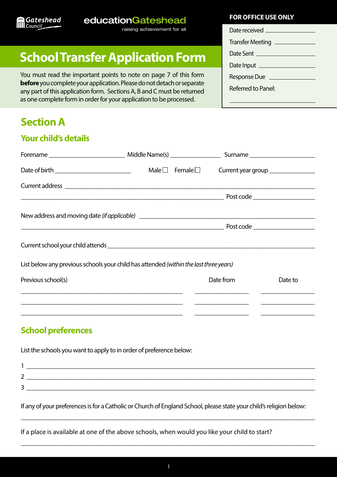

#### educationGateshead

raising achievement for all

# **School Transfer Application Form**

You must read the important points to note on page 7 of this form **before** you complete your application. Please do not detach or separate any part of this application form. Sections A, B and C must be returned as one complete form in order for your application to be processed.

## **Section A**

### **Your child's details**

|                                                                                       | Male $\square$ Female $\square$ |           | Current year group _______________ |
|---------------------------------------------------------------------------------------|---------------------------------|-----------|------------------------------------|
|                                                                                       |                                 |           |                                    |
|                                                                                       |                                 |           |                                    |
|                                                                                       |                                 |           |                                    |
|                                                                                       |                                 |           |                                    |
|                                                                                       |                                 |           |                                    |
| List below any previous schools your child has attended (within the last three years) |                                 |           |                                    |
| Previous school(s)                                                                    |                                 | Date from | Date to                            |
|                                                                                       |                                 |           |                                    |
|                                                                                       |                                 |           |                                    |

### **School preferences**

List the schools you want to apply to in order of preference below:

| ∽ |  |  |
|---|--|--|
| - |  |  |
|   |  |  |

If any of your preferences is for a Catholic or Church of England School, please state your child's religion below:

\_\_\_\_\_\_\_\_\_\_\_\_\_\_\_\_\_\_\_\_\_\_\_\_\_\_\_\_\_\_\_\_\_\_\_\_\_\_\_\_\_\_\_\_\_\_\_\_\_\_\_\_\_\_\_\_\_\_\_\_\_\_\_\_\_\_\_\_\_\_\_\_\_\_\_\_\_\_\_\_\_\_\_\_\_\_\_\_\_\_\_\_\_

If a place is available at one of the above schools, when would you like your child to start?

#### **FOR OFFICE USE ONLY**

| Date received ______________    |
|---------------------------------|
| Transfer Meeting ______________ |
|                                 |
| Date Input                      |
| Response Due ___________        |
| Referred to Panel:              |
|                                 |

\_\_\_\_\_\_\_\_\_\_\_\_\_\_\_\_\_\_\_\_\_\_\_\_\_\_\_\_\_\_\_\_\_\_\_\_\_\_\_\_\_\_\_\_\_\_\_\_\_\_\_\_\_\_\_\_\_\_\_\_\_\_\_\_\_\_\_\_\_\_\_\_\_\_\_\_\_\_\_\_\_\_\_\_\_\_\_\_\_\_\_\_\_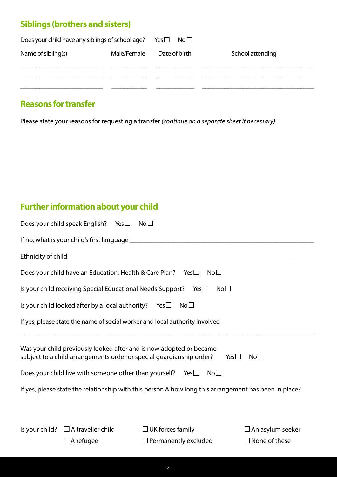## **Siblings (brothers and sisters)**

| Does your child have any siblings of school age? Yes $\Box$ |             | $\mathsf{No}\,\Box$ |                  |
|-------------------------------------------------------------|-------------|---------------------|------------------|
| Name of sibling $(s)$                                       | Male/Female | Date of birth       | School attending |
|                                                             |             |                     |                  |
|                                                             |             |                     |                  |

### **Reasons for transfer**

Please state your reasons for requesting a transfer *(continue on a separate sheet if necessary)*

### **Further information about your child**

|                                                                                                       | Does your child speak English? Yes $\square$                          | $No\square$                                                                           |                                                 |  |  |
|-------------------------------------------------------------------------------------------------------|-----------------------------------------------------------------------|---------------------------------------------------------------------------------------|-------------------------------------------------|--|--|
|                                                                                                       |                                                                       |                                                                                       |                                                 |  |  |
|                                                                                                       |                                                                       |                                                                                       |                                                 |  |  |
|                                                                                                       |                                                                       | Does your child have an Education, Health & Care Plan? Yes $\Box$ No $\Box$           |                                                 |  |  |
|                                                                                                       | Is your child receiving Special Educational Needs Support? Yes $\Box$ | No <sub>1</sub>                                                                       |                                                 |  |  |
|                                                                                                       | Is your child looked after by a local authority? Yes $\Box$           | No <sub>1</sub>                                                                       |                                                 |  |  |
|                                                                                                       |                                                                       | If yes, please state the name of social worker and local authority involved           |                                                 |  |  |
|                                                                                                       | Was your child previously looked after and is now adopted or became   | subject to a child arrangements order or special guardianship order?<br>Yes $\square$ | No <sub>1</sub>                                 |  |  |
|                                                                                                       | Does your child live with someone other than yourself? Yes $\Box$     | No <sub>1</sub>                                                                       |                                                 |  |  |
| If yes, please state the relationship with this person & how long this arrangement has been in place? |                                                                       |                                                                                       |                                                 |  |  |
|                                                                                                       | Is your child? $\Box$ A traveller child<br>$\Box$ A refugee           | $\Box$ UK forces family<br>$\Box$ Permanently excluded                                | $\Box$ An asylum seeker<br>$\Box$ None of these |  |  |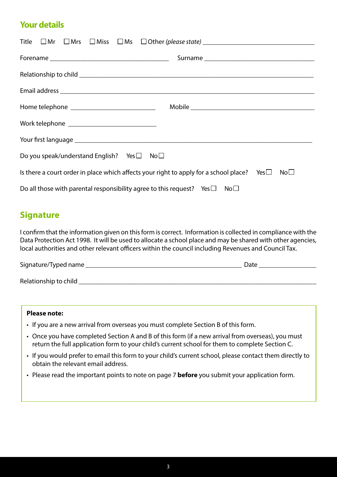### **Your details**

|  | Work telephone _________________________________ |                                                                                                  |                 |                 |
|--|--------------------------------------------------|--------------------------------------------------------------------------------------------------|-----------------|-----------------|
|  |                                                  |                                                                                                  |                 |                 |
|  | Do you speak/understand English? Yes□ No□        |                                                                                                  |                 |                 |
|  |                                                  | Is there a court order in place which affects your right to apply for a school place? Yes $\Box$ |                 | No <sub>1</sub> |
|  |                                                  | Do all those with parental responsibility agree to this request? Yes $\Box$                      | No <sub>1</sub> |                 |

### **Signature**

I confirm that the information given on this form is correct. Information is collected in compliance with the Data Protection Act 1998. It will be used to allocate a school place and may be shared with other agencies, local authorities and other relevant officers within the council including Revenues and Council Tax.

| Signature/Typed name  | Date |
|-----------------------|------|
|                       |      |
| Relationship to child |      |

#### **Please note:**

- If you are a new arrival from overseas you must complete Section B of this form.
- Once you have completed Section A and B of this form (if a new arrival from overseas), you must return the full application form to your child's current school for them to complete Section C.
- If you would prefer to email this form to your child's current school, please contact them directly to obtain the relevant email address.
- Please read the important points to note on page 7 **before** you submit your application form.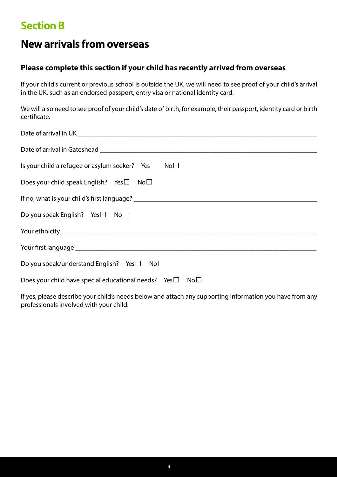## **Section B**

## **New arrivals from overseas**

#### **Please complete this section if your child has recently arrived from overseas**

If your child's current or previous school is outside the UK, we will need to see proof of your child's arrival in the UK, such as an endorsed passport, entry visa or national identity card.

We will also need to see proof of your child's date of birth, for example, their passport, identity card or birth certificate.

| Is your child a refugee or asylum seeker? Yes $\Box$ No $\Box$       |
|----------------------------------------------------------------------|
| Does your child speak English? Yes $\square$ No $\square$            |
|                                                                      |
| Do you speak English? Yes $\Box$ No $\Box$                           |
|                                                                      |
|                                                                      |
| Do you speak/understand English? Yes $\square$ No $\square$          |
| Does your child have special educational needs? Yes $\Box$ No $\Box$ |

If yes, please describe your child's needs below and attach any supporting information you have from any professionals involved with your child: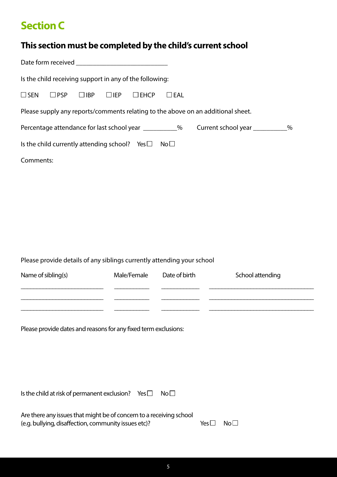## **Section C**

### **This section must be completed by the child's current school**

| Is the child receiving support in any of the following:                          |                              |                 |                               |      |
|----------------------------------------------------------------------------------|------------------------------|-----------------|-------------------------------|------|
| $\square$ SEN<br>$\square$ PSP<br>$\Box$ IBP                                     | $\Box$ IEP<br>$\square$ EHCP | $\Box$ EAL      |                               |      |
| Please supply any reports/comments relating to the above on an additional sheet. |                              |                 |                               |      |
| Percentage attendance for last school year __________%                           |                              |                 | Current school year _________ | $\%$ |
| Is the child currently attending school? Yes $\Box$                              |                              | No <sub>1</sub> |                               |      |
| Comments:                                                                        |                              |                 |                               |      |
|                                                                                  |                              |                 |                               |      |
|                                                                                  |                              |                 |                               |      |
|                                                                                  |                              |                 |                               |      |
|                                                                                  |                              |                 |                               |      |
|                                                                                  |                              |                 |                               |      |
| Please provide details of any siblings currently attending your school           |                              |                 |                               |      |
| Name of sibling(s)                                                               | Male/Female                  | Date of birth   | School attending              |      |
|                                                                                  |                              |                 |                               |      |
|                                                                                  |                              |                 |                               |      |
| Please provide dates and reasons for any fixed term exclusions:                  |                              |                 |                               |      |
|                                                                                  |                              |                 |                               |      |
|                                                                                  |                              |                 |                               |      |
|                                                                                  |                              |                 |                               |      |
| Is the child at risk of permanent exclusion? Yes $\Box$                          |                              | No <sub>1</sub> |                               |      |
|                                                                                  |                              |                 |                               |      |

(e.g. bullying, disaffection, community issues etc)?  $Yes \Box \ No \Box$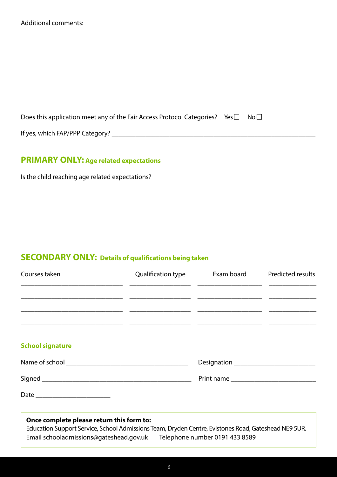| Does this application meet any of the Fair Access Protocol Categories? Yes $\Box$ | No <sub>1</sub> |  |
|-----------------------------------------------------------------------------------|-----------------|--|
| If yes, which FAP/PPP Category?                                                   |                 |  |

#### **PRIMARY ONLY: Age related expectations**

Is the child reaching age related expectations?

#### **SECONDARY ONLY: Details of qualifications being taken**

| Courses taken                   | Qualification type | Exam board | <b>Predicted results</b> |
|---------------------------------|--------------------|------------|--------------------------|
|                                 |                    |            |                          |
|                                 |                    |            |                          |
| <b>School signature</b>         |                    |            |                          |
|                                 |                    |            |                          |
|                                 |                    | Print name |                          |
| Date __________________________ |                    |            |                          |

#### **Once complete please return this form to:**

Education Support Service, School Admissions Team, Dryden Centre, Evistones Road, Gateshead NE9 5UR. Email schooladmissions@gateshead.gov.uk Telephone number 0191 433 8589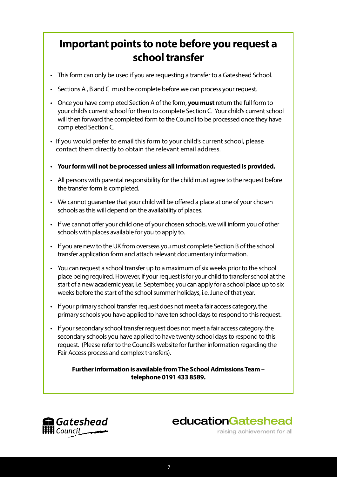# **Important points to note before you request a school transfer**

- This form can only be used if you are requesting a transfer to a Gateshead School.
- Sections A , B and C must be complete before we can process your request.
- Once you have completed Section A of the form, **you must** return the full form to your child's current school for them to complete Section C. Your child's current school will then forward the completed form to the Council to be processed once they have completed Section C.
- If you would prefer to email this form to your child's current school, please contact them directly to obtain the relevant email address.
- **Your form will not be processed unless all information requested is provided.**
- All persons with parental responsibility for the child must agree to the request before the transfer form is completed.
- We cannot guarantee that your child will be offered a place at one of your chosen schools as this will depend on the availability of places.
- If we cannot offer your child one of your chosen schools, we will inform you of other schools with places available for you to apply to.
- If you are new to the UK from overseas you must complete Section B of the school transfer application form and attach relevant documentary information.
- You can request a school transfer up to a maximum of six weeks prior to the school place being required. However, if your request is for your child to transfer school at the start of a new academic year, i.e. September, you can apply for a school place up to six weeks before the start of the school summer holidays, i.e. June of that year.
- If your primary school transfer request does not meet a fair access category, the primary schools you have applied to have ten school days to respond to this request.
- If your secondary school transfer request does not meet a fair access category, the secondary schools you have applied to have twenty school days to respond to this request. (Please refer to the Council's website for further information regarding the Fair Access process and complex transfers).

**Further information is available from The School Admissions Team – telephone 0191 433 8589.**



educationGateshead

raising achievement for all